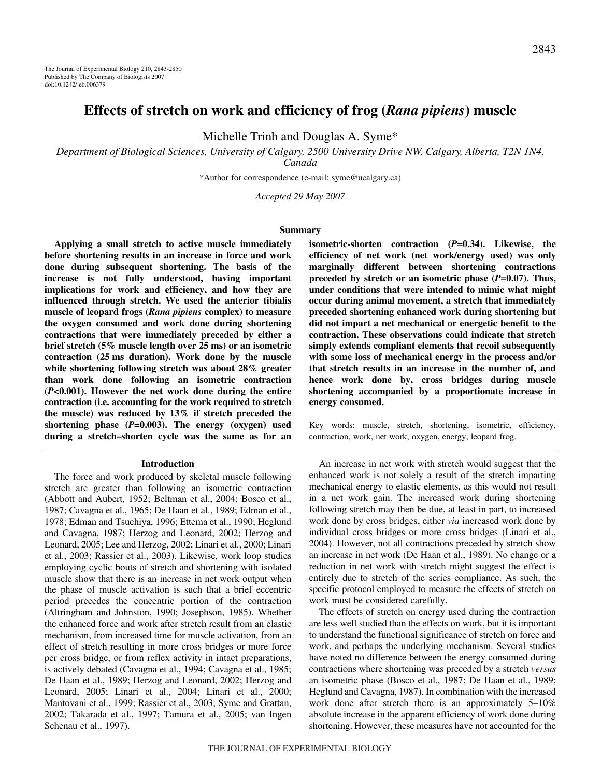Michelle Trinh and Douglas A. Syme\*

*Department of Biological Sciences, University of Calgary, 2500 University Drive NW, Calgary, Alberta, T2N 1N4, Canada*

\*Author for correspondence (e-mail: syme@ucalgary.ca)

*Accepted 29 May 2007*

#### **Summary**

**Applying a small stretch to active muscle immediately before shortening results in an increase in force and work done during subsequent shortening. The basis of the increase is not fully understood, having important implications for work and efficiency, and how they are influenced through stretch. We used the anterior tibialis muscle of leopard frogs (***Rana pipiens* **complex) to measure the oxygen consumed and work done during shortening contractions that were immediately preceded by either a brief stretch (5% muscle length over 25·ms) or an isometric** contraction (25 ms duration). Work done by the muscle **while shortening following stretch was about 28% greater than work done following an isometric contraction (***P***<0.001). However the net work done during the entire contraction (i.e. accounting for the work required to stretch the muscle) was reduced by 13% if stretch preceded the shortening phase (***P***=0.003). The energy (oxygen) used during a stretch–shorten cycle was the same as for an**

#### **Introduction**

The force and work produced by skeletal muscle following stretch are greater than following an isometric contraction (Abbott and Aubert, 1952; Beltman et al., 2004; Bosco et al., 1987; Cavagna et al., 1965; De Haan et al., 1989; Edman et al., 1978; Edman and Tsuchiya, 1996; Ettema et al., 1990; Heglund and Cavagna, 1987; Herzog and Leonard, 2002; Herzog and Leonard, 2005; Lee and Herzog, 2002; Linari et al., 2000; Linari et al., 2003; Rassier et al., 2003). Likewise, work loop studies employing cyclic bouts of stretch and shortening with isolated muscle show that there is an increase in net work output when the phase of muscle activation is such that a brief eccentric period precedes the concentric portion of the contraction (Altringham and Johnston, 1990; Josephson, 1985). Whether the enhanced force and work after stretch result from an elastic mechanism, from increased time for muscle activation, from an effect of stretch resulting in more cross bridges or more force per cross bridge, or from reflex activity in intact preparations, is actively debated (Cavagna et al., 1994; Cavagna et al., 1985; De Haan et al., 1989; Herzog and Leonard, 2002; Herzog and Leonard, 2005; Linari et al., 2004; Linari et al., 2000; Mantovani et al., 1999; Rassier et al., 2003; Syme and Grattan, 2002; Takarada et al., 1997; Tamura et al., 2005; van Ingen Schenau et al., 1997).

**isometric-shorten contraction (***P***=0.34). Likewise, the efficiency of net work (net work/energy used) was only marginally different between shortening contractions preceded by stretch or an isometric phase (***P***=0.07). Thus, under conditions that were intended to mimic what might occur during animal movement, a stretch that immediately preceded shortening enhanced work during shortening but did not impart a net mechanical or energetic benefit to the contraction. These observations could indicate that stretch simply extends compliant elements that recoil subsequently with some loss of mechanical energy in the process and/or that stretch results in an increase in the number of, and hence work done by, cross bridges during muscle shortening accompanied by a proportionate increase in energy consumed.**

Key words: muscle, stretch, shortening, isometric, efficiency, contraction, work, net work, oxygen, energy, leopard frog.

An increase in net work with stretch would suggest that the enhanced work is not solely a result of the stretch imparting mechanical energy to elastic elements, as this would not result in a net work gain. The increased work during shortening following stretch may then be due, at least in part, to increased work done by cross bridges, either *via* increased work done by individual cross bridges or more cross bridges (Linari et al., 2004). However, not all contractions preceded by stretch show an increase in net work (De Haan et al., 1989). No change or a reduction in net work with stretch might suggest the effect is entirely due to stretch of the series compliance. As such, the specific protocol employed to measure the effects of stretch on work must be considered carefully.

The effects of stretch on energy used during the contraction are less well studied than the effects on work, but it is important to understand the functional significance of stretch on force and work, and perhaps the underlying mechanism. Several studies have noted no difference between the energy consumed during contractions where shortening was preceded by a stretch *versus* an isometric phase (Bosco et al., 1987; De Haan et al., 1989; Heglund and Cavagna, 1987). In combination with the increased work done after stretch there is an approximately 5–10% absolute increase in the apparent efficiency of work done during shortening. However, these measures have not accounted for the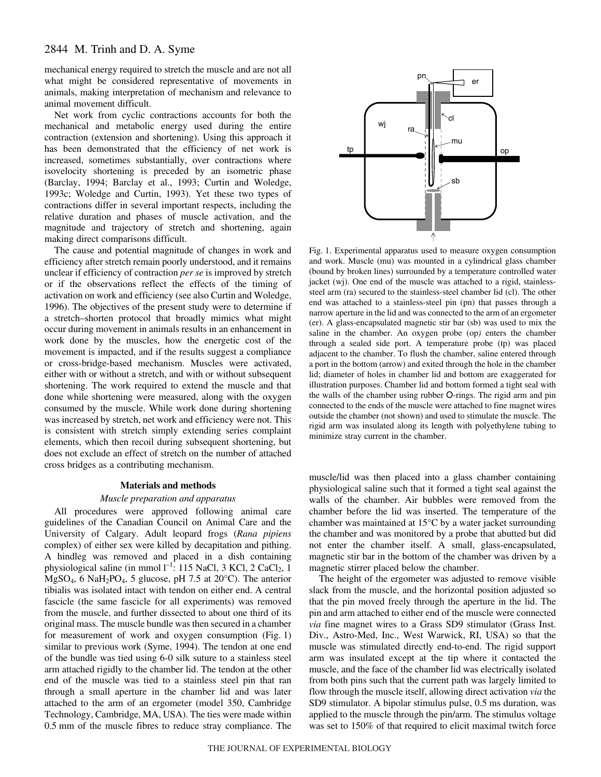# 2844 M. Trinh and D. A. Syme

mechanical energy required to stretch the muscle and are not all what might be considered representative of movements in animals, making interpretation of mechanism and relevance to animal movement difficult.

Net work from cyclic contractions accounts for both the mechanical and metabolic energy used during the entire contraction (extension and shortening). Using this approach it has been demonstrated that the efficiency of net work is increased, sometimes substantially, over contractions where isovelocity shortening is preceded by an isometric phase (Barclay, 1994; Barclay et al., 1993; Curtin and Woledge, 1993c; Woledge and Curtin, 1993). Yet these two types of contractions differ in several important respects, including the relative duration and phases of muscle activation, and the magnitude and trajectory of stretch and shortening, again making direct comparisons difficult.

The cause and potential magnitude of changes in work and efficiency after stretch remain poorly understood, and it remains unclear if efficiency of contraction *per se* is improved by stretch or if the observations reflect the effects of the timing of activation on work and efficiency (see also Curtin and Woledge, 1996). The objectives of the present study were to determine if a stretch–shorten protocol that broadly mimics what might occur during movement in animals results in an enhancement in work done by the muscles, how the energetic cost of the movement is impacted, and if the results suggest a compliance or cross-bridge-based mechanism. Muscles were activated, either with or without a stretch, and with or without subsequent shortening. The work required to extend the muscle and that done while shortening were measured, along with the oxygen consumed by the muscle. While work done during shortening was increased by stretch, net work and efficiency were not. This is consistent with stretch simply extending series complaint elements, which then recoil during subsequent shortening, but does not exclude an effect of stretch on the number of attached cross bridges as a contributing mechanism.

### **Materials and methods**

## *Muscle preparation and apparatus*

All procedures were approved following animal care guidelines of the Canadian Council on Animal Care and the University of Calgary. Adult leopard frogs (*Rana pipiens* complex) of either sex were killed by decapitation and pithing. A hindleg was removed and placed in a dish containing physiological saline (in mmol  $l^{-1}$ : 115 NaCl, 3 KCl, 2 CaCl<sub>2</sub>, 1  $MgSO<sub>4</sub>$ , 6 NaH<sub>2</sub>PO<sub>4</sub>, 5 glucose, pH 7.5 at 20 $^{\circ}$ C). The anterior tibialis was isolated intact with tendon on either end. A central fascicle (the same fascicle for all experiments) was removed from the muscle, and further dissected to about one third of its original mass. The muscle bundle was then secured in a chamber for measurement of work and oxygen consumption (Fig.  $1$ ) similar to previous work (Syme, 1994). The tendon at one end of the bundle was tied using 6-0 silk suture to a stainless steel arm attached rigidly to the chamber lid. The tendon at the other end of the muscle was tied to a stainless steel pin that ran through a small aperture in the chamber lid and was later attached to the arm of an ergometer (model 350, Cambridge Technology, Cambridge, MA, USA). The ties were made within 0.5 mm of the muscle fibres to reduce stray compliance. The



Fig. 1. Experimental apparatus used to measure oxygen consumption and work. Muscle (mu) was mounted in a cylindrical glass chamber (bound by broken lines) surrounded by a temperature controlled water jacket (wj). One end of the muscle was attached to a rigid, stainlesssteel arm (ra) secured to the stainless-steel chamber lid (cl). The other end was attached to a stainless-steel pin (pn) that passes through a narrow aperture in the lid and was connected to the arm of an ergometer (er). A glass-encapsulated magnetic stir bar (sb) was used to mix the saline in the chamber. An oxygen probe (op*)* enters the chamber through a sealed side port. A temperature probe (tp) was placed adjacent to the chamber. To flush the chamber, saline entered through a port in the bottom (arrow) and exited through the hole in the chamber lid; diameter of holes in chamber lid and bottom are exaggerated for illustration purposes. Chamber lid and bottom formed a tight seal with the walls of the chamber using rubber O-rings. The rigid arm and pin connected to the ends of the muscle were attached to fine magnet wires outside the chamber (not shown) and used to stimulate the muscle. The rigid arm was insulated along its length with polyethylene tubing to minimize stray current in the chamber.

muscle/lid was then placed into a glass chamber containing physiological saline such that it formed a tight seal against the walls of the chamber. Air bubbles were removed from the chamber before the lid was inserted. The temperature of the chamber was maintained at 15°C by a water jacket surrounding the chamber and was monitored by a probe that abutted but did not enter the chamber itself. A small, glass-encapsulated, magnetic stir bar in the bottom of the chamber was driven by a magnetic stirrer placed below the chamber.

The height of the ergometer was adjusted to remove visible slack from the muscle, and the horizontal position adjusted so that the pin moved freely through the aperture in the lid. The pin and arm attached to either end of the muscle were connected *via* fine magnet wires to a Grass SD9 stimulator (Grass Inst. Div., Astro-Med, Inc., West Warwick, RI, USA) so that the muscle was stimulated directly end-to-end. The rigid support arm was insulated except at the tip where it contacted the muscle, and the face of the chamber lid was electrically isolated from both pins such that the current path was largely limited to flow through the muscle itself, allowing direct activation *via* the SD9 stimulator. A bipolar stimulus pulse, 0.5 ms duration, was applied to the muscle through the pin/arm. The stimulus voltage was set to 150% of that required to elicit maximal twitch force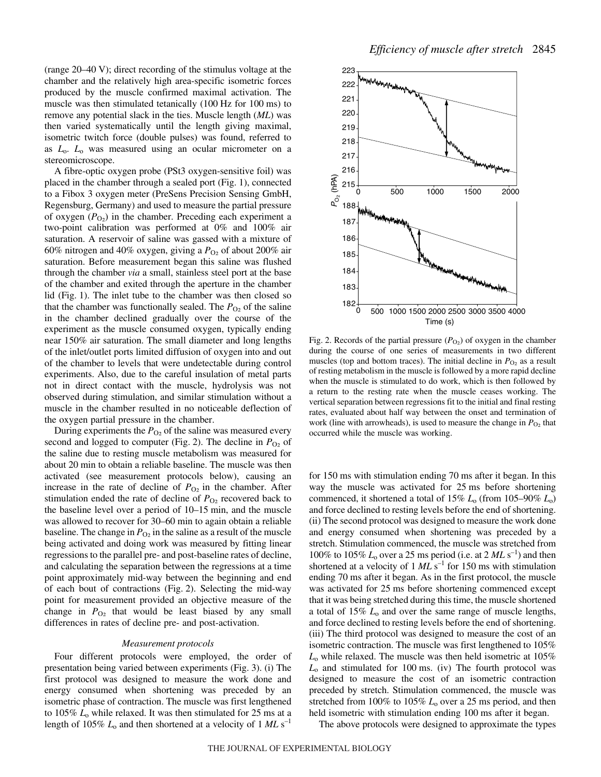(range 20–40 V); direct recording of the stimulus voltage at the chamber and the relatively high area-specific isometric forces produced by the muscle confirmed maximal activation. The muscle was then stimulated tetanically  $(100 Hz for 100 ms)$  to remove any potential slack in the ties. Muscle length (*ML*) was then varied systematically until the length giving maximal, isometric twitch force (double pulses) was found, referred to as *L*o. *L*<sup>o</sup> was measured using an ocular micrometer on a stereomicroscope.

A fibre-optic oxygen probe (PSt3 oxygen-sensitive foil) was placed in the chamber through a sealed port (Fig. 1), connected to a Fibox 3 oxygen meter (PreSens Precision Sensing GmbH, Regensburg, Germany) and used to measure the partial pressure of oxygen  $(P<sub>O2</sub>)$  in the chamber. Preceding each experiment a two-point calibration was performed at 0% and 100% air saturation. A reservoir of saline was gassed with a mixture of 60% nitrogen and 40% oxygen, giving a  $P_{\text{O}_2}$  of about 200% air saturation. Before measurement began this saline was flushed through the chamber *via* a small, stainless steel port at the base of the chamber and exited through the aperture in the chamber lid (Fig. 1). The inlet tube to the chamber was then closed so that the chamber was functionally sealed. The  $P_{\text{O}_2}$  of the saline in the chamber declined gradually over the course of the experiment as the muscle consumed oxygen, typically ending near 150% air saturation. The small diameter and long lengths of the inlet/outlet ports limited diffusion of oxygen into and out of the chamber to levels that were undetectable during control experiments. Also, due to the careful insulation of metal parts not in direct contact with the muscle, hydrolysis was not observed during stimulation, and similar stimulation without a muscle in the chamber resulted in no noticeable deflection of the oxygen partial pressure in the chamber.

During experiments the  $P_{O_2}$  of the saline was measured every second and logged to computer (Fig. 2). The decline in  $P_{\text{O}_2}$  of the saline due to resting muscle metabolism was measured for about 20 min to obtain a reliable baseline. The muscle was then activated (see measurement protocols below), causing an increase in the rate of decline of  $P_{\text{O}_2}$  in the chamber. After stimulation ended the rate of decline of  $P_{\text{O}_2}$  recovered back to the baseline level over a period of 10–15 min, and the muscle was allowed to recover for 30–60 min to again obtain a reliable baseline. The change in  $P_{Q_2}$  in the saline as a result of the muscle being activated and doing work was measured by fitting linear regressions to the parallel pre- and post-baseline rates of decline, and calculating the separation between the regressions at a time point approximately mid-way between the beginning and end of each bout of contractions (Fig. 2). Selecting the mid-way point for measurement provided an objective measure of the change in  $P_{O_2}$  that would be least biased by any small differences in rates of decline pre- and post-activation.

#### *Measurement protocols*

Four different protocols were employed, the order of presentation being varied between experiments (Fig. 3). (i) The first protocol was designed to measure the work done and energy consumed when shortening was preceded by an isometric phase of contraction. The muscle was first lengthened to  $105\%$   $L_0$  while relaxed. It was then stimulated for 25 ms at a length of 105%  $L_0$  and then shortened at a velocity of 1  $MLs^{-1}$ 



Fig. 2. Records of the partial pressure  $(P<sub>O2</sub>)$  of oxygen in the chamber during the course of one series of measurements in two different muscles (top and bottom traces). The initial decline in  $P_{\text{O}_2}$  as a result of resting metabolism in the muscle is followed by a more rapid decline when the muscle is stimulated to do work, which is then followed by a return to the resting rate when the muscle ceases working. The vertical separation between regressions fit to the initial and final resting rates, evaluated about half way between the onset and termination of work (line with arrowheads), is used to measure the change in  $P_{\Omega_2}$  that occurred while the muscle was working.

for 150 ms with stimulation ending 70 ms after it began. In this way the muscle was activated for 25 ms before shortening commenced, it shortened a total of  $15\%$   $L_0$  (from  $105-90\%$   $L_0$ ) and force declined to resting levels before the end of shortening. (ii) The second protocol was designed to measure the work done and energy consumed when shortening was preceded by a stretch. Stimulation commenced, the muscle was stretched from 100% to 105%  $L_0$  over a 25 ms period (i.e. at 2  $MLs^{-1}$ ) and then shortened at a velocity of  $1MLs^{-1}$  for 150 ms with stimulation ending 70 ms after it began. As in the first protocol, the muscle was activated for 25 ms before shortening commenced except that it was being stretched during this time, the muscle shortened a total of 15% *L*<sup>o</sup> and over the same range of muscle lengths, and force declined to resting levels before the end of shortening. (iii) The third protocol was designed to measure the cost of an isometric contraction. The muscle was first lengthened to 105%  $L_0$  while relaxed. The muscle was then held isometric at  $105\%$  $L_0$  and stimulated for 100 ms. (iv) The fourth protocol was designed to measure the cost of an isometric contraction preceded by stretch. Stimulation commenced, the muscle was stretched from 100% to 105%  $L_0$  over a 25 ms period, and then held isometric with stimulation ending 100 ms after it began.

The above protocols were designed to approximate the types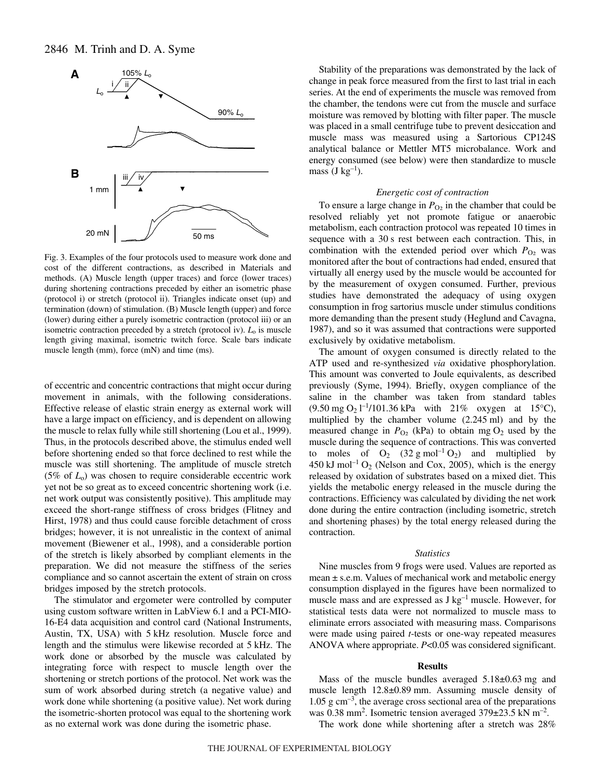

Fig. 3. Examples of the four protocols used to measure work done and cost of the different contractions, as described in Materials and methods. (A) Muscle length (upper traces) and force (lower traces) during shortening contractions preceded by either an isometric phase (protocol i) or stretch (protocol ii). Triangles indicate onset (up) and termination (down) of stimulation. (B) Muscle length (upper) and force (lower) during either a purely isometric contraction (protocol iii) or an isometric contraction preceded by a stretch (protocol iv).  $L_0$  is muscle length giving maximal, isometric twitch force. Scale bars indicate muscle length (mm), force (mN) and time (ms).

of eccentric and concentric contractions that might occur during movement in animals, with the following considerations. Effective release of elastic strain energy as external work will have a large impact on efficiency, and is dependent on allowing the muscle to relax fully while still shortening (Lou et al., 1999). Thus, in the protocols described above, the stimulus ended well before shortening ended so that force declined to rest while the muscle was still shortening. The amplitude of muscle stretch (5% of *L*o) was chosen to require considerable eccentric work yet not be so great as to exceed concentric shortening work (i.e. net work output was consistently positive). This amplitude may exceed the short-range stiffness of cross bridges (Flitney and Hirst, 1978) and thus could cause forcible detachment of cross bridges; however, it is not unrealistic in the context of animal movement (Biewener et al., 1998), and a considerable portion of the stretch is likely absorbed by compliant elements in the preparation. We did not measure the stiffness of the series compliance and so cannot ascertain the extent of strain on cross bridges imposed by the stretch protocols.

The stimulator and ergometer were controlled by computer using custom software written in LabView 6.1 and a PCI-MIO-16-E4 data acquisition and control card (National Instruments, Austin, TX, USA) with 5 kHz resolution. Muscle force and length and the stimulus were likewise recorded at 5 kHz. The work done or absorbed by the muscle was calculated by integrating force with respect to muscle length over the shortening or stretch portions of the protocol. Net work was the sum of work absorbed during stretch (a negative value) and work done while shortening (a positive value). Net work during the isometric-shorten protocol was equal to the shortening work as no external work was done during the isometric phase.

Stability of the preparations was demonstrated by the lack of change in peak force measured from the first to last trial in each series. At the end of experiments the muscle was removed from the chamber, the tendons were cut from the muscle and surface moisture was removed by blotting with filter paper. The muscle was placed in a small centrifuge tube to prevent desiccation and muscle mass was measured using a Sartorious CP124S analytical balance or Mettler MT5 microbalance. Work and energy consumed (see below) were then standardize to muscle mass  $(J \text{ kg}^{-1})$ .

## *Energetic cost of contraction*

To ensure a large change in  $P_{\text{O}_2}$  in the chamber that could be resolved reliably yet not promote fatigue or anaerobic metabolism, each contraction protocol was repeated 10 times in sequence with a 30 s rest between each contraction. This, in combination with the extended period over which  $P_{\text{O}_2}$  was monitored after the bout of contractions had ended, ensured that virtually all energy used by the muscle would be accounted for by the measurement of oxygen consumed. Further, previous studies have demonstrated the adequacy of using oxygen consumption in frog sartorius muscle under stimulus conditions more demanding than the present study (Heglund and Cavagna, 1987), and so it was assumed that contractions were supported exclusively by oxidative metabolism.

The amount of oxygen consumed is directly related to the ATP used and re-synthesized *via* oxidative phosphorylation. This amount was converted to Joule equivalents, as described previously (Syme, 1994). Briefly, oxygen compliance of the saline in the chamber was taken from standard tables  $(9.50 \text{ mg } O_2 l^{-1}/101.36 \text{ kPa}$  with  $21\%$  oxygen at 15°C), multiplied by the chamber volume  $(2.245 \text{ ml})$  and by the measured change in  $P_{O_2}$  (kPa) to obtain mg  $O_2$  used by the muscle during the sequence of contractions. This was converted to moles of  $O_2$  (32 g mol<sup>-1</sup>  $O_2$ ) and multiplied by 450 kJ mol<sup>-1</sup>  $O_2$  (Nelson and Cox, 2005), which is the energy released by oxidation of substrates based on a mixed diet. This yields the metabolic energy released in the muscle during the contractions. Efficiency was calculated by dividing the net work done during the entire contraction (including isometric, stretch and shortening phases) by the total energy released during the contraction.

#### *Statistics*

Nine muscles from 9 frogs were used. Values are reported as mean  $\pm$  s.e.m. Values of mechanical work and metabolic energy consumption displayed in the figures have been normalized to muscle mass and are expressed as J kg<sup>-1</sup> muscle. However, for statistical tests data were not normalized to muscle mass to eliminate errors associated with measuring mass. Comparisons were made using paired *t*-tests or one-way repeated measures ANOVA where appropriate. *P*<0.05 was considered significant.

#### **Results**

Mass of the muscle bundles averaged  $5.18\pm0.63$  mg and muscle length 12.8±0.89 mm. Assuming muscle density of  $1.05~\text{g cm}^{-3}$ , the average cross sectional area of the preparations was 0.38 mm<sup>2</sup>. Isometric tension averaged  $379\pm23.5$  kN m<sup>-2</sup>.

The work done while shortening after a stretch was 28%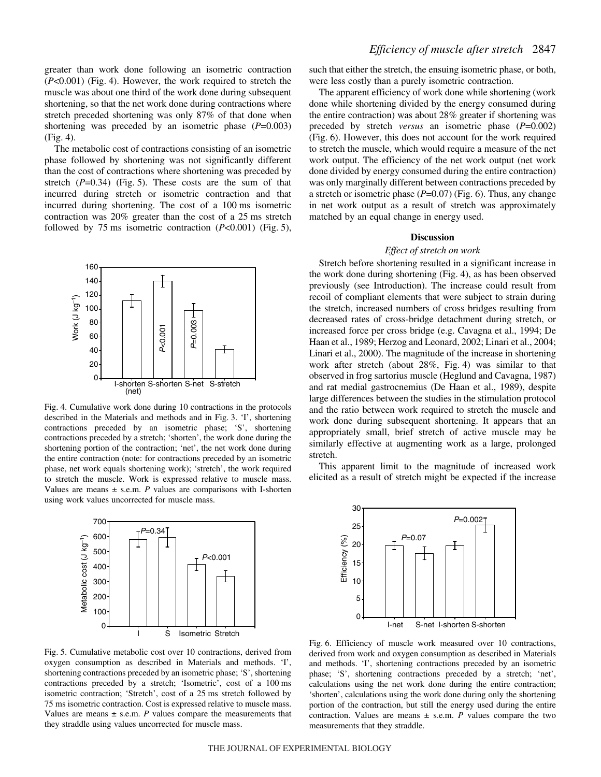greater than work done following an isometric contraction  $(P<0.001)$  (Fig. 4). However, the work required to stretch the muscle was about one third of the work done during subsequent shortening, so that the net work done during contractions where stretch preceded shortening was only 87% of that done when shortening was preceded by an isometric phase (*P*=0.003)  $(Fig. 4)$ .

The metabolic cost of contractions consisting of an isometric phase followed by shortening was not significantly different than the cost of contractions where shortening was preceded by stretch  $(P=0.34)$  (Fig. 5). These costs are the sum of that incurred during stretch or isometric contraction and that incurred during shortening. The cost of a 100 ms isometric contraction was  $20\%$  greater than the cost of a  $25 \text{ ms}$  stretch followed by 75 ms isometric contraction  $(P<0.001)$  (Fig. 5),



Fig. 4. Cumulative work done during 10 contractions in the protocols described in the Materials and methods and in Fig. 3. 'I', shortening contractions preceded by an isometric phase; 'S', shortening contractions preceded by a stretch; 'shorten', the work done during the shortening portion of the contraction; 'net', the net work done during the entire contraction (note: for contractions preceded by an isometric phase, net work equals shortening work); 'stretch', the work required to stretch the muscle. Work is expressed relative to muscle mass. Values are means  $\pm$  s.e.m. *P* values are comparisons with I-shorten using work values uncorrected for muscle mass.



Fig. 5. Cumulative metabolic cost over 10 contractions, derived from oxygen consumption as described in Materials and methods. 'I', shortening contractions preceded by an isometric phase; 'S', shortening contractions preceded by a stretch; 'Isometric', cost of a 100 ms isometric contraction; 'Stretch', cost of a 25 ms stretch followed by 75 ms isometric contraction. Cost is expressed relative to muscle mass. Values are means  $\pm$  s.e.m. *P* values compare the measurements that they straddle using values uncorrected for muscle mass.

such that either the stretch, the ensuing isometric phase, or both, were less costly than a purely isometric contraction.

The apparent efficiency of work done while shortening (work done while shortening divided by the energy consumed during the entire contraction) was about 28% greater if shortening was preceded by stretch *versus* an isometric phase (*P*=0.002) (Fig. 6). However, this does not account for the work required to stretch the muscle, which would require a measure of the net work output. The efficiency of the net work output (net work done divided by energy consumed during the entire contraction) was only marginally different between contractions preceded by a stretch or isometric phase  $(P=0.07)$  (Fig. 6). Thus, any change in net work output as a result of stretch was approximately matched by an equal change in energy used.

### **Discussion**

#### *Effect of stretch on work*

Stretch before shortening resulted in a significant increase in the work done during shortening (Fig. 4), as has been observed previously (see Introduction). The increase could result from recoil of compliant elements that were subject to strain during the stretch, increased numbers of cross bridges resulting from decreased rates of cross-bridge detachment during stretch, or increased force per cross bridge (e.g. Cavagna et al., 1994; De Haan et al., 1989; Herzog and Leonard, 2002; Linari et al., 2004; Linari et al., 2000). The magnitude of the increase in shortening work after stretch (about  $28\%$ , Fig. 4) was similar to that observed in frog sartorius muscle (Heglund and Cavagna, 1987) and rat medial gastrocnemius (De Haan et al., 1989), despite large differences between the studies in the stimulation protocol and the ratio between work required to stretch the muscle and work done during subsequent shortening. It appears that an appropriately small, brief stretch of active muscle may be similarly effective at augmenting work as a large, prolonged stretch.

This apparent limit to the magnitude of increased work elicited as a result of stretch might be expected if the increase



Fig. 6. Efficiency of muscle work measured over 10 contractions, derived from work and oxygen consumption as described in Materials and methods. 'I', shortening contractions preceded by an isometric phase; 'S', shortening contractions preceded by a stretch; 'net', calculations using the net work done during the entire contraction; 'shorten', calculations using the work done during only the shortening portion of the contraction, but still the energy used during the entire contraction. Values are means  $\pm$  s.e.m. *P* values compare the two measurements that they straddle.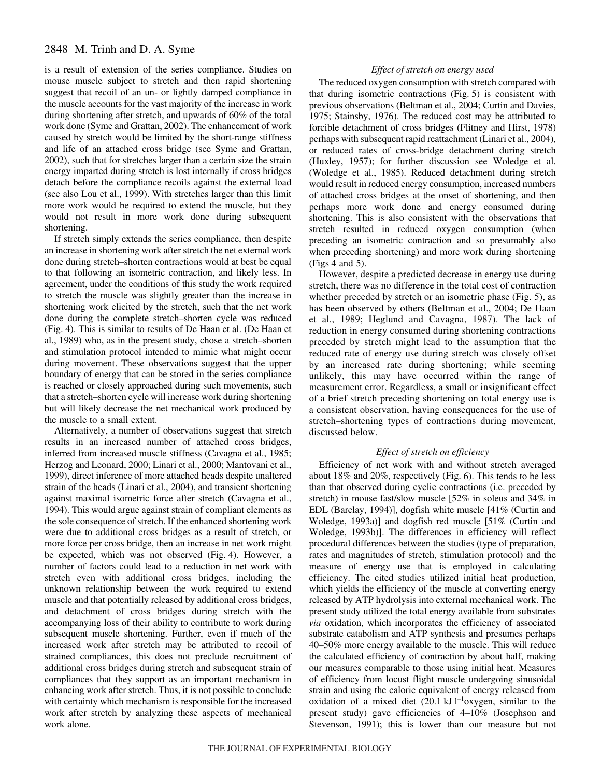# 2848 M. Trinh and D. A. Syme

is a result of extension of the series compliance. Studies on mouse muscle subject to stretch and then rapid shortening suggest that recoil of an un- or lightly damped compliance in the muscle accounts for the vast majority of the increase in work during shortening after stretch, and upwards of 60% of the total work done (Syme and Grattan, 2002). The enhancement of work caused by stretch would be limited by the short-range stiffness and life of an attached cross bridge (see Syme and Grattan, 2002), such that for stretches larger than a certain size the strain energy imparted during stretch is lost internally if cross bridges detach before the compliance recoils against the external load (see also Lou et al., 1999). With stretches larger than this limit more work would be required to extend the muscle, but they would not result in more work done during subsequent shortening.

If stretch simply extends the series compliance, then despite an increase in shortening work after stretch the net external work done during stretch–shorten contractions would at best be equal to that following an isometric contraction, and likely less. In agreement, under the conditions of this study the work required to stretch the muscle was slightly greater than the increase in shortening work elicited by the stretch, such that the net work done during the complete stretch–shorten cycle was reduced (Fig. 4). This is similar to results of De Haan et al. (De Haan et al., 1989) who, as in the present study, chose a stretch–shorten and stimulation protocol intended to mimic what might occur during movement. These observations suggest that the upper boundary of energy that can be stored in the series compliance is reached or closely approached during such movements, such that a stretch–shorten cycle will increase work during shortening but will likely decrease the net mechanical work produced by the muscle to a small extent.

Alternatively, a number of observations suggest that stretch results in an increased number of attached cross bridges, inferred from increased muscle stiffness (Cavagna et al., 1985; Herzog and Leonard, 2000; Linari et al., 2000; Mantovani et al., 1999), direct inference of more attached heads despite unaltered strain of the heads (Linari et al., 2004), and transient shortening against maximal isometric force after stretch (Cavagna et al., 1994). This would argue against strain of compliant elements as the sole consequence of stretch. If the enhanced shortening work were due to additional cross bridges as a result of stretch, or more force per cross bridge, then an increase in net work might be expected, which was not observed (Fig. 4). However, a number of factors could lead to a reduction in net work with stretch even with additional cross bridges, including the unknown relationship between the work required to extend muscle and that potentially released by additional cross bridges, and detachment of cross bridges during stretch with the accompanying loss of their ability to contribute to work during subsequent muscle shortening. Further, even if much of the increased work after stretch may be attributed to recoil of strained compliances, this does not preclude recruitment of additional cross bridges during stretch and subsequent strain of compliances that they support as an important mechanism in enhancing work after stretch. Thus, it is not possible to conclude with certainty which mechanism is responsible for the increased work after stretch by analyzing these aspects of mechanical work alone.

# *Effect of stretch on energy used*

The reduced oxygen consumption with stretch compared with that during isometric contractions  $(Fig. 5)$  is consistent with previous observations (Beltman et al., 2004; Curtin and Davies, 1975; Stainsby, 1976). The reduced cost may be attributed to forcible detachment of cross bridges (Flitney and Hirst, 1978) perhaps with subsequent rapid reattachment (Linari et al., 2004), or reduced rates of cross-bridge detachment during stretch (Huxley, 1957); for further discussion see Woledge et al. (Woledge et al., 1985). Reduced detachment during stretch would result in reduced energy consumption, increased numbers of attached cross bridges at the onset of shortening, and then perhaps more work done and energy consumed during shortening. This is also consistent with the observations that stretch resulted in reduced oxygen consumption (when preceding an isometric contraction and so presumably also when preceding shortening) and more work during shortening  $(Figs 4 and 5).$ 

However, despite a predicted decrease in energy use during stretch, there was no difference in the total cost of contraction whether preceded by stretch or an isometric phase (Fig. 5), as has been observed by others (Beltman et al., 2004; De Haan et al., 1989; Heglund and Cavagna, 1987). The lack of reduction in energy consumed during shortening contractions preceded by stretch might lead to the assumption that the reduced rate of energy use during stretch was closely offset by an increased rate during shortening; while seeming unlikely, this may have occurred within the range of measurement error. Regardless, a small or insignificant effect of a brief stretch preceding shortening on total energy use is a consistent observation, having consequences for the use of stretch–shortening types of contractions during movement, discussed below.

### *Effect of stretch on efficiency*

Efficiency of net work with and without stretch averaged about  $18\%$  and  $20\%$ , respectively (Fig. 6). This tends to be less than that observed during cyclic contractions (i.e. preceded by stretch) in mouse fast/slow muscle [52% in soleus and 34% in EDL (Barclay, 1994)], dogfish white muscle [41% (Curtin and Woledge, 1993a)] and dogfish red muscle [51% (Curtin and Woledge, 1993b)]. The differences in efficiency will reflect procedural differences between the studies (type of preparation, rates and magnitudes of stretch, stimulation protocol) and the measure of energy use that is employed in calculating efficiency. The cited studies utilized initial heat production, which yields the efficiency of the muscle at converting energy released by ATP hydrolysis into external mechanical work. The present study utilized the total energy available from substrates *via* oxidation, which incorporates the efficiency of associated substrate catabolism and ATP synthesis and presumes perhaps 40–50% more energy available to the muscle. This will reduce the calculated efficiency of contraction by about half, making our measures comparable to those using initial heat. Measures of efficiency from locust flight muscle undergoing sinusoidal strain and using the caloric equivalent of energy released from oxidation of a mixed diet  $(20.1 \text{ kJ} \cdot \text{J}^{-1})$ oxygen, similar to the present study) gave efficiencies of 4–10% (Josephson and Stevenson, 1991); this is lower than our measure but not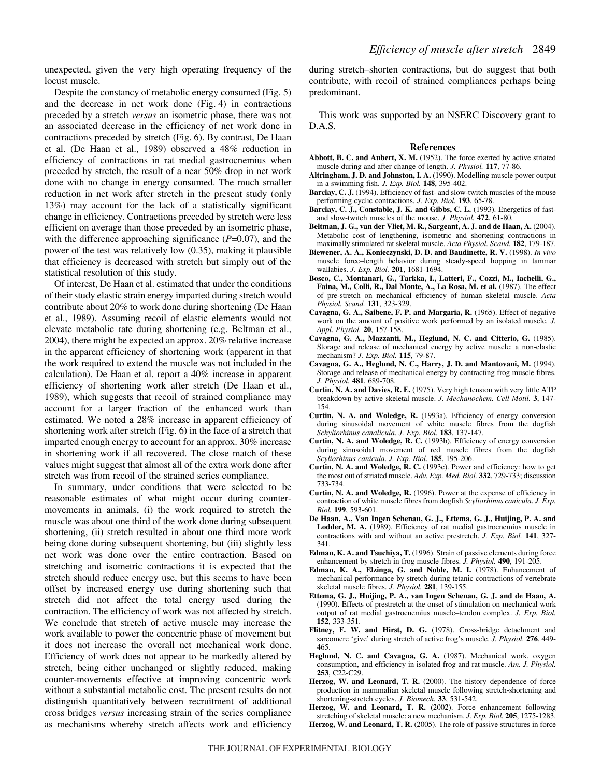unexpected, given the very high operating frequency of the locust muscle.

Despite the constancy of metabolic energy consumed (Fig. 5) and the decrease in net work done  $(Fig. 4)$  in contractions preceded by a stretch *versus* an isometric phase, there was not an associated decrease in the efficiency of net work done in contractions preceded by stretch (Fig. 6). By contrast, De Haan et al. (De Haan et al., 1989) observed a 48% reduction in efficiency of contractions in rat medial gastrocnemius when preceded by stretch, the result of a near 50% drop in net work done with no change in energy consumed. The much smaller reduction in net work after stretch in the present study (only 13%) may account for the lack of a statistically significant change in efficiency. Contractions preceded by stretch were less efficient on average than those preceded by an isometric phase, with the difference approaching significance ( $P=0.07$ ), and the power of the test was relatively low (0.35), making it plausible that efficiency is decreased with stretch but simply out of the statistical resolution of this study.

Of interest, De Haan et al. estimated that under the conditions of their study elastic strain energy imparted during stretch would contribute about 20% to work done during shortening (De Haan et al., 1989). Assuming recoil of elastic elements would not elevate metabolic rate during shortening (e.g. Beltman et al., 2004), there might be expected an approx. 20% relative increase in the apparent efficiency of shortening work (apparent in that the work required to extend the muscle was not included in the calculation). De Haan et al. report a 40% increase in apparent efficiency of shortening work after stretch (De Haan et al., 1989), which suggests that recoil of strained compliance may account for a larger fraction of the enhanced work than estimated. We noted a 28% increase in apparent efficiency of shortening work after stretch (Fig.  $6$ ) in the face of a stretch that imparted enough energy to account for an approx. 30% increase in shortening work if all recovered. The close match of these values might suggest that almost all of the extra work done after stretch was from recoil of the strained series compliance.

In summary, under conditions that were selected to be reasonable estimates of what might occur during countermovements in animals, (i) the work required to stretch the muscle was about one third of the work done during subsequent shortening, (ii) stretch resulted in about one third more work being done during subsequent shortening, but (iii) slightly less net work was done over the entire contraction. Based on stretching and isometric contractions it is expected that the stretch should reduce energy use, but this seems to have been offset by increased energy use during shortening such that stretch did not affect the total energy used during the contraction. The efficiency of work was not affected by stretch. We conclude that stretch of active muscle may increase the work available to power the concentric phase of movement but it does not increase the overall net mechanical work done. Efficiency of work does not appear to be markedly altered by stretch, being either unchanged or slightly reduced, making counter-movements effective at improving concentric work without a substantial metabolic cost. The present results do not distinguish quantitatively between recruitment of additional cross bridges *versus* increasing strain of the series compliance as mechanisms whereby stretch affects work and efficiency

during stretch–shorten contractions, but do suggest that both contribute, with recoil of strained compliances perhaps being predominant.

This work was supported by an NSERC Discovery grant to D.A.S.

#### **References**

- **Abbott, B. C. and Aubert, X. M.** (1952). The force exerted by active striated muscle during and after change of length. *J. Physiol.* **117**, 77-86.
- **Altringham, J. D. and Johnston, I. A.** (1990). Modelling muscle power output in a swimming fish. *J. Exp. Biol.* **148**, 395-402.
- Barclay, C. J. (1994). Efficiency of fast- and slow-twitch muscles of the mouse performing cyclic contractions. *J. Exp. Biol.* **193**, 65-78.
- Barclay, C. J., Constable, J. K. and Gibbs, C. L. (1993). Energetics of fastand slow-twitch muscles of the mouse. *J. Physiol.* **472**, 61-80.
- **Beltman, J. G., van der Vliet, M. R., Sargeant, A. J. and de Haan, A.** (2004). Metabolic cost of lengthening, isometric and shortening contractions in maximally stimulated rat skeletal muscle. *Acta Physiol. Scand.* **182**, 179-187.
- **Biewener, A. A., Konieczynski, D. D. and Baudinette, R. V.** (1998). *In vivo* muscle force–length behavior during steady-speed hopping in tammar wallabies. *J. Exp. Biol.* **201**, 1681-1694.
- **Bosco, C., Montanari, G., Tarkka, I., Latteri, F., Cozzi, M., Iachelli, G., Faina, M., Colli, R., Dal Monte, A., La Rosa, M. et al.** (1987). The effect of pre-stretch on mechanical efficiency of human skeletal muscle. *Acta Physiol. Scand.* **131**, 323-329.
- **Cavagna, G. A., Saibene, F. P. and Margaria, R.** (1965). Effect of negative work on the amount of positive work performed by an isolated muscle. *J. Appl. Physiol.* **20**, 157-158.
- **Cavagna, G. A., Mazzanti, M., Heglund, N. C. and Citterio, G.** (1985). Storage and release of mechanical energy by active muscle: a non-elastic mechanism? *J. Exp. Biol.* **115**, 79-87.
- **Cavagna, G. A., Heglund, N. C., Harry, J. D. and Mantovani, M.** (1994). Storage and release of mechanical energy by contracting frog muscle fibres. *J. Physiol.* **481**, 689-708.
- **Curtin, N. A. and Davies, R. E.** (1975). Very high tension with very little ATP breakdown by active skeletal muscle. *J. Mechanochem. Cell Motil.* **3**, 147- 154.
- **Curtin, N. A. and Woledge, R.** (1993a). Efficiency of energy conversion during sinusoidal movement of white muscle fibres from the dogfish *Schyliorhinus canalicula*. *J. Exp. Biol.* **183**, 137-147.
- **Curtin, N. A. and Woledge, R. C.** (1993b). Efficiency of energy conversion during sinusoidal movement of red muscle fibres from the dogfish *Scyliorhinus canicula*. *J. Exp. Biol.* **185**, 195-206.
- **Curtin, N. A. and Woledge, R. C.** (1993c). Power and efficiency: how to get the most out of striated muscle. *Adv. Exp. Med. Biol.* **332**, 729-733; discussion 733-734.
- **Curtin, N. A. and Woledge, R.** (1996). Power at the expense of efficiency in contraction of white muscle fibres from dogfish *Scyliorhinus canicula*. *J. Exp. Biol.* **199**, 593-601.
- **De Haan, A., Van Ingen Schenau, G. J., Ettema, G. J., Huijing, P. A. and** Lodder, M. A. (1989). Efficiency of rat medial gastrocnemius muscle in contractions with and without an active prestretch. *J. Exp. Biol.* **141**, 327- 341.
- **Edman, K. A. and Tsuchiya, T.** (1996). Strain of passive elements during force enhancement by stretch in frog muscle fibres. *J. Physiol.* **490**, 191-205.
- **Edman, K. A., Elzinga, G. and Noble, M. I.** (1978). Enhancement of mechanical performance by stretch during tetanic contractions of vertebrate skeletal muscle fibres. *J. Physiol.* **281**, 139-155.
- **Ettema, G. J., Huijing, P. A., van Ingen Schenau, G. J. and de Haan, A.** (1990). Effects of prestretch at the onset of stimulation on mechanical work output of rat medial gastrocnemius muscle–tendon complex. *J. Exp. Biol.* **152**, 333-351.
- **Flitney, F. W. and Hirst, D. G.** (1978). Cross-bridge detachment and sarcomere 'give' during stretch of active frog's muscle. *J. Physiol.* **276**, 449- 465.
- **Heglund, N. C. and Cavagna, G. A.** (1987). Mechanical work, oxygen consumption, and efficiency in isolated frog and rat muscle. *Am. J. Physiol.* **253**, C22-C29.
- **Herzog, W. and Leonard, T. R.** (2000). The history dependence of force production in mammalian skeletal muscle following stretch-shortening and shortening-stretch cycles. *J. Biomech.* **33**, 531-542.
- **Herzog, W. and Leonard, T. R.** (2002). Force enhancement following stretching of skeletal muscle: a new mechanism. *J. Exp. Biol.* **205**, 1275-1283.
- **Herzog, W. and Leonard, T. R.** (2005). The role of passive structures in force